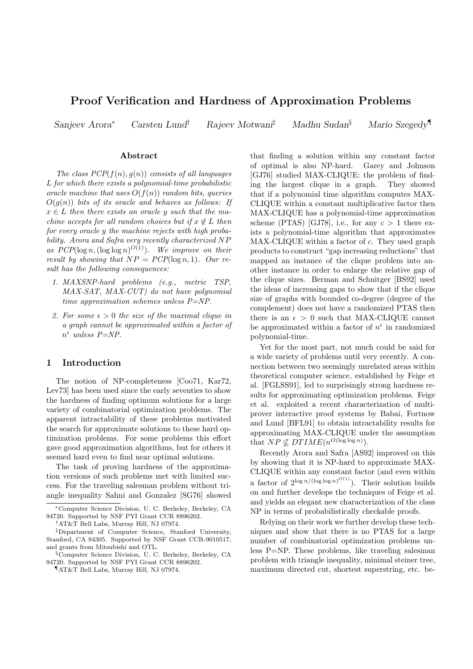# Proof Verification and Hardness of Approximation Problems

Sanjeev Arora<sup>∗</sup> Carsten Lund† Rajeev Motwani‡ Madhu Sudan§ Mario Szegedy¶

#### Abstract

The class  $PCP(f(n), g(n))$  consists of all languages L for which there exists a polynomial-time probabilistic oracle machine that uses  $O(f(n))$  random bits, queries  $O(g(n))$  bits of its oracle and behaves as follows: If  $x \in L$  then there exists an oracle y such that the machine accepts for all random choices but if  $x \notin L$  then for every oracle y the machine rejects with high probability. Arora and Safra very recently characterized NP as  $PCP(\log n, (\log \log n)^{O(1)})$ . We improve on their result by showing that  $NP = PCP(\log n, 1)$ . Our result has the following consequences:

- 1. MAXSNP-hard problems (e.g., metric TSP, MAX-SAT, MAX-CUT) do not have polynomial time approximation schemes unless P=NP.
- 2. For some  $\epsilon > 0$  the size of the maximal clique in a graph cannot be approximated within a factor of  $n^{\epsilon}$  unless  $P=NP$ .

# 1 Introduction

The notion of NP-completeness [Coo71, Kar72, Lev73] has been used since the early seventies to show the hardness of finding optimum solutions for a large variety of combinatorial optimization problems. The apparent intractability of these problems motivated the search for approximate solutions to these hard optimization problems. For some problems this effort gave good approximation algorithms, but for others it seemed hard even to find near optimal solutions.

The task of proving hardness of the approximation versions of such problems met with limited success. For the traveling salesman problem without triangle inequality Sahni and Gonzalez [SG76] showed

that finding a solution within any constant factor of optimal is also NP-hard. Garey and Johnson [GJ76] studied MAX-CLIQUE: the problem of finding the largest clique in a graph. They showed that if a polynomial time algorithm computes MAX-CLIQUE within a constant multiplicative factor then MAX-CLIQUE has a polynomial-time approximation scheme (PTAS) [GJ78], i.e., for any  $c > 1$  there exists a polynomial-time algorithm that approximates MAX-CLIQUE within a factor of c. They used graph products to construct "gap increasing reductions" that mapped an instance of the clique problem into another instance in order to enlarge the relative gap of the clique sizes. Berman and Schnitger [BS92] used the ideas of increasing gaps to show that if the clique size of graphs with bounded co-degree (degree of the complement) does not have a randomized PTAS then there is an  $\epsilon > 0$  such that MAX-CLIQUE cannot be approximated within a factor of  $n^{\epsilon}$  in randomized polynomial-time.

Yet for the most part, not much could be said for a wide variety of problems until very recently. A connection between two seemingly unrelated areas within theoretical computer science, established by Feige et al. [FGLSS91], led to surprisingly strong hardness results for approximating optimization problems. Feige et al. exploited a recent characterization of multiprover interactive proof systems by Babai, Fortnow and Lund [BFL91] to obtain intractability results for approximating MAX-CLIQUE under the assumption that  $NP \nsubseteq DTIME(n^{O(\log \log n)})$ .

Recently Arora and Safra [AS92] improved on this by showing that it is NP-hard to approximate MAX-CLIQUE within any constant factor (and even within a factor of  $2^{\log n/(\log \log n)^{O(1)}}$ ). Their solution builds on and further develops the techniques of Feige et al. and yields an elegant new characterization of the class NP in terms of probabilistically checkable proofs.

Relying on their work we further develop these techniques and show that there is no PTAS for a large number of combinatorial optimization problems unless P=NP. These problems, like traveling salesman problem with triangle inequality, minimal steiner tree, maximum directed cut, shortest superstring, etc. be-

<sup>∗</sup>Computer Science Division, U. C. Berkeley, Berkeley, CA 94720. Supported by NSF PYI Grant CCR 8896202.

<sup>†</sup>AT&T Bell Labs, Murray Hill, NJ 07974.

<sup>‡</sup>Department of Computer Science, Stanford University, Stanford, CA 94305. Supported by NSF Grant CCR-9010517, and grants from Mitsubishi and OTL.

<sup>§</sup>Computer Science Division, U. C. Berkeley, Berkeley, CA 94720. Supported by NSF PYI Grant CCR 8896202.

<sup>¶</sup>AT&T Bell Labs, Murray Hill, NJ 07974.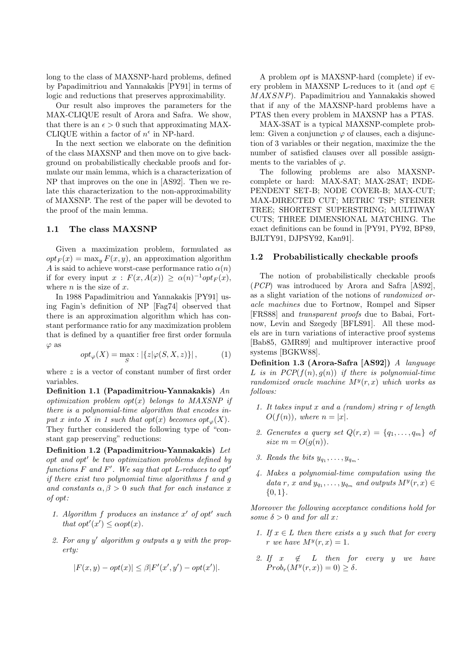long to the class of MAXSNP-hard problems, defined by Papadimitriou and Yannakakis [PY91] in terms of logic and reductions that preserves approximability.

Our result also improves the parameters for the MAX-CLIQUE result of Arora and Safra. We show, that there is an  $\epsilon > 0$  such that approximating MAX-CLIQUE within a factor of  $n^{\epsilon}$  in NP-hard.

In the next section we elaborate on the definition of the class MAXSNP and then move on to give background on probabilistically checkable proofs and formulate our main lemma, which is a characterization of NP that improves on the one in [AS92]. Then we relate this characterization to the non-approximability of MAXSNP. The rest of the paper will be devoted to the proof of the main lemma.

## 1.1 The class MAXSNP

Given a maximization problem, formulated as  $opt_F(x) = \max_y F(x, y)$ , an approximation algorithm A is said to achieve worst-case performance ratio  $\alpha(n)$ if for every input  $x : F(x, A(x)) \ge \alpha(n)^{-1} opt_F(x)$ , where  $n$  is the size of  $x$ .

In 1988 Papadimitriou and Yannakakis [PY91] using Fagin's definition of NP [Fag74] observed that there is an approximation algorithm which has constant performance ratio for any maximization problem that is defined by a quantifier free first order formula  $\varphi$  as

$$
opt_{\varphi}(X) = \max_{S} : |\{z|\varphi(S, X, z)\}|, \tag{1}
$$

where z is a vector of constant number of first order variables.

Definition 1.1 (Papadimitriou-Yannakakis) An optimization problem  $opt(x)$  belongs to MAXSNP if there is a polynomial-time algorithm that encodes input x into X in 1 such that opt $(x)$  becomes opt<sub> $\varphi$ </sub> $(X)$ . They further considered the following type of "constant gap preserving" reductions:

Definition 1.2 (Papadimitriou-Yannakakis) Let opt and opt' be two optimization problems defined by functions  $F$  and  $F'$ . We say that opt L-reduces to opt<sup>'</sup> if there exist two polynomial time algorithms f and g and constants  $\alpha, \beta > 0$  such that for each instance x of opt:

- 1. Algorithm  $f$  produces an instance  $x'$  of opt' such that  $opt'(x') \leq \alpha opt(x)$ .
- 2. For any  $y'$  algorithm  $g$  outputs a  $y$  with the property:

$$
|F(x,y) - opt(x)| \le \beta |F'(x',y') - opt(x')|.
$$

A problem opt is MAXSNP-hard (complete) if every problem in MAXSNP L-reduces to it (and *opt*  $\in$ MAXSNP). Papadimitriou and Yannakakis showed that if any of the MAXSNP-hard problems have a PTAS then every problem in MAXSNP has a PTAS.

MAX-3SAT is a typical MAXSNP-complete problem: Given a conjunction  $\varphi$  of clauses, each a disjunction of 3 variables or their negation, maximize the the number of satisfied clauses over all possible assignments to the variables of  $\varphi$ .

The following problems are also MAXSNPcomplete or hard: MAX-SAT; MAX-2SAT; INDE-PENDENT SET-B; NODE COVER-B; MAX-CUT; MAX-DIRECTED CUT; METRIC TSP; STEINER TREE; SHORTEST SUPERSTRING; MULTIWAY CUTS; THREE DIMENSIONAL MATCHING. The exact definitions can be found in [PY91, PY92, BP89, BJLTY91, DJPSY92, Kan91].

### 1.2 Probabilistically checkable proofs

The notion of probabilistically checkable proofs (PCP) was introduced by Arora and Safra [AS92], as a slight variation of the notions of randomized oracle machines due to Fortnow, Rompel and Sipser [FRS88] and transparent proofs due to Babai, Fortnow, Levin and Szegedy [BFLS91]. All these models are in turn variations of interactive proof systems [Bab85, GMR89] and multiprover interactive proof systems [BGKW88].

Definition 1.3 (Arora-Safra [AS92]) A language L is in  $PCP(f(n), g(n))$  if there is polynomial-time randomized oracle machine  $M^{y}(r, x)$  which works as follows:

- 1. It takes input x and a (random) string r of length  $O(f(n))$ , where  $n = |x|$ .
- 2. Generates a query set  $Q(r, x) = \{q_1, \ldots, q_m\}$  of size  $m = O(g(n)).$
- 3. Reads the bits  $y_{q_1}, \ldots, y_{q_m}$ .
- 4. Makes a polynomial-time computation using the data r, x and  $y_{q_1}, \ldots, y_{q_m}$  and outputs  $M^y(r, x) \in$  $\{0,1\}.$

Moreover the following acceptance conditions hold for some  $\delta > 0$  and for all x:

- 1. If  $x \in L$  then there exists a y such that for every r we have  $M^y(r, x) = 1$ .
- 2. If  $x \notin L$  then for every y we have  $Prob<sub>r</sub>(M<sup>y</sup>(r, x)) = 0) \ge \delta.$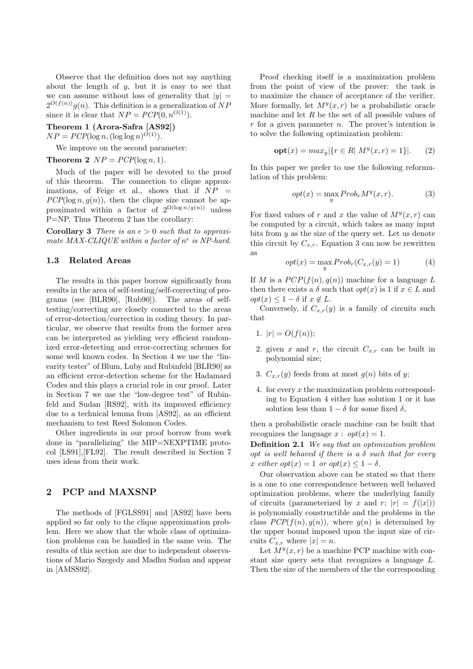Observe that the definition does not say anything about the length of  $y$ , but it is easy to see that we can assume without loss of generality that  $|y| =$  $2^{O(f(n))}g(n)$ . This definition is a generalization of NP since it is clear that  $NP = PCP(0, n^{O(1)})$ .

Theorem 1 (Arora-Safra [AS92])

 $NP = PCP(\log n, (\log \log n)^{O(1)})$ .

We improve on the second parameter:

Theorem 2  $NP = PCP(\log n, 1)$ .

Much of the paper will be devoted to the proof of this theorem. The connection to clique approximations, of Feige et al., shows that if  $NP =$  $PCP(\log n, g(n))$ , then the clique size cannot be approximated within a factor of  $2^{\Omega(\log n/g(n))}$  unless P=NP. Thus Theorem 2 has the corollary:

**Corollary 3** There is an  $\epsilon > 0$  such that to approximate MAX-CLIQUE within a factor of  $n^{\epsilon}$  is NP-hard.

#### 1.3 Related Areas

The results in this paper borrow significantly from results in the area of self-testing/self-correcting of programs (see [BLR90], [Rub90]). The areas of selftesting/correcting are closely connected to the areas of error-detection/correction in coding theory. In particular, we observe that results from the former area can be interpreted as yielding very efficient randomized error-detecting and error-correcting schemes for some well known codes. In Section 4 we use the "linearity tester" of Blum, Luby and Rubinfeld [BLR90] as an efficient error-detection scheme for the Hadamard Codes and this plays a crucial role in our proof. Later in Section 7 we use the "low-degree test" of Rubinfeld and Sudan [RS92], with its improved efficiency due to a technical lemma from [AS92], as an efficient mechanism to test Reed Solomon Codes.

Other ingredients in our proof borrow from work done in "parallelizing" the MIP=NEXPTIME protocol [LS91],[FL92]. The result described in Section 7 uses ideas from their work.

# 2 PCP and MAXSNP

The methods of [FGLSS91] and [AS92] have been applied so far only to the clique approximation problem. Here we show that the whole class of optimization problems can be handled in the same vein. The results of this section are due to independent observations of Mario Szegedy and Madhu Sudan and appear in [AMSS92].

Proof checking itself is a maximization problem from the point of view of the prover: the task is to maximize the chance of acceptance of the verifier. More formally, let  $M^y(x, r)$  be a probabilistic oracle machine and let  $R$  be the set of all possible values of  $r$  for a given parameter  $n$ . The prover's intention is to solve the following optimization problem:

$$
opt(x) = max_y | \{ r \in R | M^y(x, r) = 1 \} |.
$$
 (2)

In this paper we prefer to use the following reformulation of this problem:

$$
opt(x) = \max_{y} Prob_r M^y(x, r).
$$
 (3)

For fixed values of r and x the value of  $M^y(x, r)$  can be computed by a circuit, which takes as many input bits from  $y$  as the size of the query set. Let us denote this circuit by  $C_{x,r}$ . Equation 3 can now be rewritten as

$$
opt(x) = \max_{y} Probr(C_{x,r}(y) = 1)
$$
 (4)

If M is a  $PCP(f(n), q(n))$  machine for a language L then there exists a  $\delta$  such that  $opt(x)$  is 1 if  $x \in L$  and  $opt(x) \leq 1 - \delta$  if  $x \notin L$ .

Conversely, if  $C_{x,r}(y)$  is a family of circuits such that

- 1.  $|r| = O(f(n));$
- 2. given x and r, the circuit  $C_{x,r}$  can be built in polynomial size;
- 3.  $C_{x,r}(y)$  feeds from at most  $g(n)$  bits of y;
- 4. for every x the maximization problem corresponding to Equation 4 either has solution 1 or it has solution less than  $1 - \delta$  for some fixed  $\delta$ ,

then a probabilistic oracle machine can be built that recognizes the language  $x: opt(x) = 1$ .

Definition 2.1 We say that an optimization problem opt is well behaved if there is a  $\delta$  such that for every x either  $opt(x) = 1$  or  $opt(x) \leq 1 - \delta$ .

Our observation above can be stated so that there is a one to one correspondence between well behaved optimization problems, where the underlying family of circuits (parameterized by x and r;  $|r| = f(|x|)$ ) is polynomially constructible and the problems in the class  $PCP(f(n), g(n))$ , where  $g(n)$  is determined by the upper bound imposed upon the input size of circuits  $C_{x,r}$  where  $|x|=n$ .

Let  $M^y(x, r)$  be a machine PCP machine with constant size query sets that recognizes a language L. Then the size of the members of the the corresponding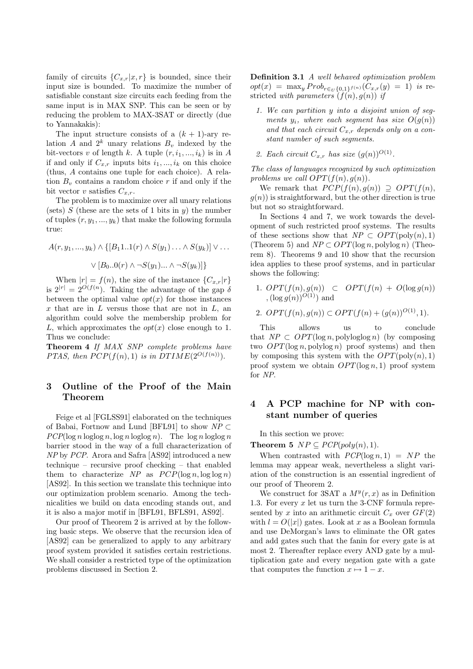family of circuits  $\{C_{x,r}|x,r\}$  is bounded, since their input size is bounded. To maximize the number of satisfiable constant size circuits each feeding from the same input is in MAX SNP. This can be seen or by reducing the problem to MAX-3SAT or directly (due to Yannakakis):

The input structure consists of a  $(k + 1)$ -ary relation A and  $2^k$  unary relations  $B_v$  indexed by the bit-vectors v of length k. A tuple  $(r, i_1, ..., i_k)$  is in A if and only if  $C_{x,r}$  inputs bits  $i_1, ..., i_k$  on this choice (thus, A contains one tuple for each choice). A relation  $B_v$  contains a random choice r if and only if the bit vector v satisfies  $C_{x,r}$ .

The problem is to maximize over all unary relations (sets)  $S$  (these are the sets of 1 bits in y) the number of tuples  $(r, y_1, ..., y_k)$  that make the following formula true:

$$
A(r, y_1, ..., y_k) \wedge \{ [B_11..1(r) \wedge S(y_1) \dots \wedge S(y_k)] \vee \dots
$$

$$
\vee [B_0..0(r) \wedge \neg S(y_1) \dots \wedge \neg S(y_k)] \}
$$

When  $|r| = f(n)$ , the size of the instance  ${C_{x,r}|r}$ is  $2^{|r|} = 2^{O(f(n)})$ . Taking the advantage of the gap  $\delta$ between the optimal value  $opt(x)$  for those instances  $x$  that are in  $L$  versus those that are not in  $L$ , an algorithm could solve the membership problem for L, which approximates the  $opt(x)$  close enough to 1. Thus we conclude:

Theorem 4 If MAX SNP complete problems have PTAS, then  $PCP(f(n), 1)$  is in  $DTIME(2^{O(f(n))})$ .

# 3 Outline of the Proof of the Main Theorem

Feige et al [FGLSS91] elaborated on the techniques of Babai, Fortnow and Lund [BFL91] to show  $NP \subset$  $PCP(\log n \log \log n, \log n \log \log n)$ . The  $\log n \log \log n$ barrier stood in the way of a full characterization of NP by PCP. Arora and Safra [AS92] introduced a new technique – recursive proof checking – that enabled them to characterize NP as  $PCP(\log n, \log \log n)$ [AS92]. In this section we translate this technique into our optimization problem scenario. Among the technicalities we build on data encoding stands out, and it is also a major motif in [BFL91, BFLS91, AS92].

Our proof of Theorem 2 is arrived at by the following basic steps. We observe that the recursion idea of [AS92] can be generalized to apply to any arbitrary proof system provided it satisfies certain restrictions. We shall consider a restricted type of the optimization problems discussed in Section 2.

Definition 3.1 A well behaved optimization problem  $opt(x) = \max_{y} Prob_{r \in U\{0,1\}^{f(n)}}(C_{x,r}(y) = 1)$  is restricted with parameters  $(f(n), g(n))$  if

- 1. We can partition y into a disjoint union of segments  $y_i$ , where each segment has size  $O(q(n))$ and that each circuit  $C_{x,r}$  depends only on a constant number of such segments.
- 2. Each circuit  $C_{x,r}$  has size  $(g(n))^{O(1)}$ .

The class of languages recognized by such optimization problems we call  $OPT(f(n), g(n))$ .

We remark that  $PCP(f(n), g(n)) \supseteq OPT(f(n),$  $g(n)$  is straightforward, but the other direction is true but not so straightforward.

In Sections 4 and 7, we work towards the development of such restricted proof systems. The results of these sections show that  $NP \subset OPT(\text{poly}(n), 1)$ (Theorem 5) and  $NP \subset OPT(\log n, \text{polylog } n)$  (Theorem 8). Theorems 9 and 10 show that the recursion idea applies to these proof systems, and in particular shows the following:

- 1.  $OPT(f(n), g(n)) \subset OPT(f(n) + O(\log g(n))$  $,(\log g(n))^{O(1)})$  and
- 2.  $OPT(f(n), g(n)) \subset OPT(f(n) + (g(n))^{O(1)}, 1).$

This allows us to conclude that  $NP \subset OPT(\log n, \text{polyloglog} n)$  (by composing two  $OPT(\log n, \text{polylog } n)$  proof systems) and then by composing this system with the  $OPT(\text{poly}(n), 1)$ proof system we obtain  $OPT(\log n, 1)$  proof system for NP.

# 4 A PCP machine for NP with constant number of queries

In this section we prove:

Theorem 5  $NP \subseteq PCP(poly(n), 1)$ .

When contrasted with  $PCP(\log n, 1) = NP$  the lemma may appear weak, nevertheless a slight variation of the construction is an essential ingredient of our proof of Theorem 2.

We construct for 3SAT a  $M^y(r, x)$  as in Definition 1.3. For every  $x$  let us turn the 3-CNF formula represented by x into an arithmetic circuit  $C_x$  over  $GF(2)$ with  $l = O(|x|)$  gates. Look at x as a Boolean formula and use DeMorgan's laws to eliminate the OR gates and add gates such that the fanin for every gate is at most 2. Thereafter replace every AND gate by a multiplication gate and every negation gate with a gate that computes the function  $x \mapsto 1 - x$ .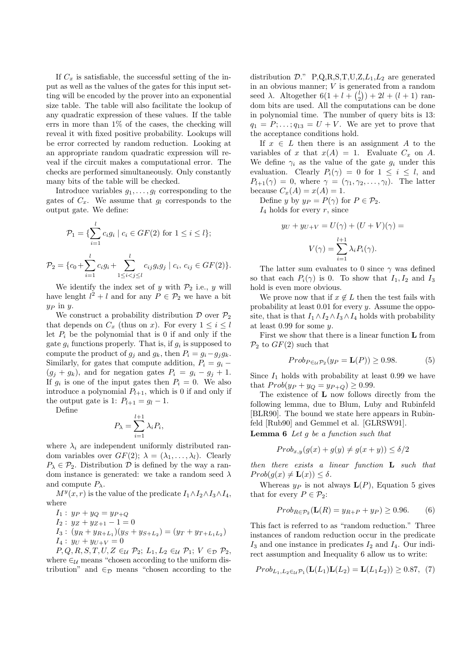If  $C_x$  is satisfiable, the successful setting of the input as well as the values of the gates for this input setting will be encoded by the prover into an exponential size table. The table will also facilitate the lookup of any quadratic expression of these values. If the table errs in more than 1% of the cases, the checking will reveal it with fixed positive probability. Lookups will be error corrected by random reduction. Looking at an appropriate random quadratic expression will reveal if the circuit makes a computational error. The checks are performed simultaneously. Only constantly many bits of the table will be checked.

Introduce variables  $g_1, \ldots, g_l$  corresponding to the gates of  $C_x$ . We assume that  $g_l$  corresponds to the output gate. We define:

$$
\mathcal{P}_1 = \{ \sum_{i=1}^l c_i g_i \mid c_i \in GF(2) \text{ for } 1 \le i \le l \};
$$
  

$$
\mathcal{P}_2 = \{ c_0 + \sum_{i=1}^l c_i g_i + \sum_{1 \le i < j \le l}^l c_{ij} g_i g_j \mid c_i, c_{ij} \in GF(2) \}.
$$

We identify the index set of y with  $\mathcal{P}_2$  i.e., y will have lenght  $l^2 + l$  and for any  $P \in \mathcal{P}_2$  we have a bit  $y_P$  in  $y$ .

We construct a probability distribution  $\mathcal D$  over  $\mathcal P_2$ that depends on  $C_x$  (thus on x). For every  $1 \leq i \leq l$ let  $P_i$  be the polynomial that is 0 if and only if the gate  $g_i$  functions properly. That is, if  $g_i$  is supposed to compute the product of  $g_i$  and  $g_k$ , then  $P_i = g_i - g_i g_k$ . Similarly, for gates that compute addition,  $P_i = q_i (g_j + g_k)$ , and for negation gates  $P_i = g_i - g_j + 1$ . If  $g_i$  is one of the input gates then  $P_i = 0$ . We also introduce a polynomial  $P_{l+1}$ , which is 0 if and only if the output gate is 1:  $P_{l+1} = g_l - 1$ .

Define

$$
P_{\lambda} = \sum_{i=1}^{l+1} \lambda_i P_i,
$$

where  $\lambda_i$  are independent uniformly distributed random variables over  $GF(2)$ ;  $\lambda = (\lambda_1, \ldots, \lambda_l)$ . Clearly  $P_{\lambda} \in \mathcal{P}_2$ . Distribution  $\mathcal{D}$  is defined by the way a random instance is generated: we take a random seed  $\lambda$ and compute  $P_\lambda$ .

 $M^{y}(x, r)$  is the value of the predicate  $I_1 \wedge I_2 \wedge I_3 \wedge I_4$ , where

$$
I_1: y_P + y_Q = y_{P+Q}
$$
  
\n
$$
I_2: y_Z + y_{Z+1} - 1 = 0
$$
  
\n
$$
I_3: (y_P + y_{P+1}) (y_Q + y_{Q+1})
$$

$$
I_3: (y_R + y_{R+L_1})(y_S + y_{S+L_2}) = (y_T + y_{T+L_1L_2})
$$
  

$$
I_4: y_U + y_{U+V} = 0
$$

 $P, Q, R, S, T, U, Z \in_{\mathcal{U}} \mathcal{P}_2; L_1, L_2 \in_{\mathcal{U}} \mathcal{P}_1; V \in_{\mathcal{D}} \mathcal{P}_2$ where  $\epsilon_{\mathcal{U}}$  means "chosen according to the uniform distribution" and  $\epsilon_{\mathcal{D}}$  means "chosen according to the distribution  $\mathcal{D}$ ." P,Q,R,S,T,U,Z,L<sub>1</sub>,L<sub>2</sub> are generated in an obvious manner; V is generated from a random seed  $\lambda$ . Altogether  $6(1 + l + \binom{l}{2}) + 2l + (l + 1)$  random bits are used. All the computations can be done in polynomial time. The number of query bits is 13:  $q_1 = P; \ldots; q_{13} = U + V$ . We are yet to prove that the acceptance conditions hold.

If  $x \in L$  then there is an assignment A to the variables of x that  $x(A) = 1$ . Evaluate  $C_x$  on A. We define  $\gamma_i$  as the value of the gate  $q_i$  under this evaluation. Clearly  $P_i(\gamma) = 0$  for  $1 \leq i \leq l$ , and  $P_{l+1}(\gamma) = 0$ , where  $\gamma = (\gamma_1, \gamma_2, \ldots, \gamma_l)$ . The latter because  $C_x(A) = x(A) = 1$ .

Define y by  $y_P = P(\gamma)$  for  $P \in \mathcal{P}_2$ .

 $I_4$  holds for every r, since

$$
y_U + y_{U+V} = U(\gamma) + (U + V)(\gamma) =
$$

$$
V(\gamma) = \sum_{i=1}^{l+1} \lambda_i P_i(\gamma).
$$

The latter sum evaluates to 0 since  $\gamma$  was defined so that each  $P_i(\gamma)$  is 0. To show that  $I_1, I_2$  and  $I_3$ hold is even more obvious.

We prove now that if  $x \notin L$  then the test fails with probability at least 0.01 for every y. Assume the opposite, that is that  $I_1 \wedge I_2 \wedge I_3 \wedge I_4$  holds with probability at least 0.99 for some y.

First we show that there is a linear function L from  $\mathcal{P}_2$  to  $GF(2)$  such that

$$
Prob_{P \in \mathcal{U}} \mathcal{P}_2(y_P = \mathbf{L}(P)) \ge 0.98. \tag{5}
$$

Since  $I_1$  holds with probability at least 0.99 we have that  $Prob(y_P + y_Q = y_{P+Q}) \ge 0.99$ .

The existence of L now follows directly from the following lemma, due to Blum, Luby and Rubinfeld [BLR90]. The bound we state here appears in Rubinfeld [Rub90] and Gemmel et al. [GLRSW91].

**Lemma 6** Let  $g$  be a function such that

$$
Prob_{x,y}(g(x) + g(y) \neq g(x+y)) \le \delta/2
$$

then there exists a linear function L such that  $Prob(q(x) \neq L(x)) < \delta$ .

Whereas  $y_P$  is not always  $L(P)$ , Equation 5 gives that for every  $P \in \mathcal{P}_2$ :

$$
Prob_{R \in \mathcal{P}_2}(\mathbf{L}(R) = y_{R+P} + y_P) \ge 0.96. \tag{6}
$$

This fact is referred to as "random reduction." Three instances of random reduction occur in the predicate  $I_3$  and one instance in predicates  $I_2$  and  $I_4$ . Our indirect assumption and Inequality 6 allow us to write:

$$
Prob_{L_1, L_2 \in \mathcal{U}} \mathcal{P}_1(\mathbf{L}(L_1)\mathbf{L}(L_2) = \mathbf{L}(L_1 L_2)) \ge 0.87, (7)
$$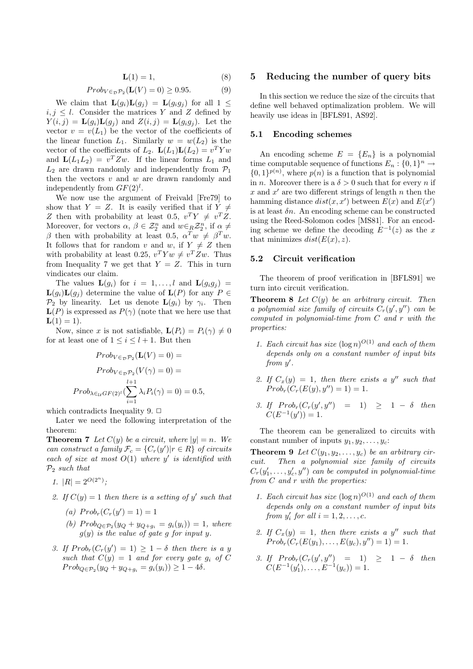$$
\mathbf{L}(1) = 1,\tag{8}
$$

$$
Prob_{V \in \mathcal{D}} \mathcal{P}_2(\mathbf{L}(V) = 0) \ge 0.95. \tag{9}
$$

We claim that  $\mathbf{L}(g_i)\mathbf{L}(g_j) = \mathbf{L}(g_ig_j)$  for all  $1 \leq$  $i, j \leq l$ . Consider the matrices Y and Z defined by  $Y(i, j) = \mathbf{L}(g_i)\mathbf{L}(g_j)$  and  $Z(i, j) = \mathbf{L}(g_i g_j)$ . Let the vector  $v = v(L_1)$  be the vector of the coefficients of the linear function  $L_1$ . Similarly  $w = w(L_2)$  is the vector of the coefficients of  $L_2$ .  $\mathbf{L}(L_1)\mathbf{L}(L_2) = v^T Y w$ and  $\mathbf{L}(L_1L_2) = v^T Z w$ . If the linear forms  $L_1$  and  $L_2$  are drawn randomly and independently from  $\mathcal{P}_1$ then the vectors  $v$  and  $w$  are drawn randomly and independently from  $GF(2)<sup>l</sup>$ .

We now use the argument of Freivald [Fre79] to show that  $Y = Z$ . It is easily verified that if  $Y \neq$ Z then with probability at least 0.5,  $v^T Y \neq v^T Z$ . Moreover, for vectors  $\alpha, \beta \in \mathcal{Z}_2^n$  and  $w \in_R \mathcal{Z}_2^n$ , if  $\alpha \neq$ β then with probability at least 0.5,  $\alpha^T w \neq \beta^T w$ . It follows that for random v and w, if  $Y \neq Z$  then with probability at least 0.25,  $v^T Y w \neq v^T Z w$ . Thus from Inequality 7 we get that  $Y = Z$ . This in turn vindicates our claim.

The values  $\mathbf{L}(g_i)$  for  $i = 1, \ldots, l$  and  $\mathbf{L}(g_i g_j) =$  $\mathbf{L}(g_i)\mathbf{L}(g_j)$  determine the value of  $\mathbf{L}(P)$  for any  $P \in$  $\mathcal{P}_2$  by linearity. Let us denote  $\mathbf{L}(g_i)$  by  $\gamma_i$ . Then  $\mathbf{L}(P)$  is expressed as  $P(\gamma)$  (note that we here use that  $L(1) = 1$ .

Now, since x is not satisfiable,  $\mathbf{L}(P_i) = P_i(\gamma) \neq 0$ for at least one of  $1 \leq i \leq l+1$ . But then

$$
Prob_{V \in \mathcal{D}} \mathcal{P}_2(\mathbf{L}(V) = 0) =
$$

$$
Prob_{V \in \mathcal{D}} \mathcal{P}_2(V(\gamma) = 0) =
$$

$$
Prob_{\lambda \in UGF(2)^l}(\sum_{i=1}^{l+1} \lambda_i P_i(\gamma) = 0) = 0.5,
$$

which contradicts Inequality 9.  $\Box$ 

Later we need the following interpretation of the theorem:

**Theorem 7** Let  $C(y)$  be a circuit, where  $|y| = n$ . We can construct a family  $\mathcal{F}_c = \{C_r(y') | r \in R\}$  of circuits each of size at most  $O(1)$  where y' is identified with  $P_2$  such that

- 1.  $|R| = 2^{O(2^n)}$ ;
- 2. If  $C(y) = 1$  then there is a setting of y' such that
	- (a)  $Prob<sub>r</sub>(C<sub>r</sub>(y') = 1) = 1$
	- (b)  $Prob_{Q \in \mathcal{P}_2}(y_Q + y_{Q+g_i} = g_i(y_i)) = 1$ , where  $g(y)$  is the value of gate g for input y.
- 3. If  $Prob<sub>r</sub>(C<sub>r</sub>(y') = 1) \ge 1 \delta$  then there is a y such that  $C(y) = 1$  and for every gate  $g_i$  of C  $Prob_{Q \in \mathcal{P}_2}(y_Q + y_{Q+g_i} = g_i(y_i)) \geq 1 - 4\delta.$

## 5 Reducing the number of query bits

In this section we reduce the size of the circuits that define well behaved optimalization problem. We will heavily use ideas in [BFLS91, AS92].

## 5.1 Encoding schemes

An encoding scheme  $E = \{E_n\}$  is a polynomial time computable sequence of functions  $E_n: \{0,1\}^n \to$  $\{0,1\}^{p(n)}$ , where  $p(n)$  is a function that is polynomial in *n*. Moreover there is a  $\delta > 0$  such that for every *n* if x and  $x'$  are two different strings of length n then the hamming distance  $dist(x, x')$  between  $E(x)$  and  $E(x')$ is at least  $\delta n$ . An encoding scheme can be constructed using the Reed-Solomon codes [MS81]. For an encoding scheme we define the decoding  $E^{-1}(z)$  as the x that minimizes  $dist(E(x), z)$ .

### 5.2 Circuit verification

The theorem of proof verification in [BFLS91] we turn into circuit verification.

**Theorem 8** Let  $C(y)$  be an arbitrary circuit. Then a polynomial size family of circuits  $C_r(y', y'')$  can be computed in polynomial-time from C and r with the properties:

- 1. Each circuit has size  $(\log n)^{O(1)}$  and each of them depends only on a constant number of input bits from  $y'$ .
- 2. If  $C_x(y) = 1$ , then there exists a y'' such that  $Prob<sub>r</sub>(C<sub>r</sub>(E(y), y'') = 1) = 1.$
- 3. If  $Prob<sub>r</sub>(C<sub>r</sub>(y', y'') = 1) \ge 1 \delta$  then  $C(E^{-1}(y')) = 1.$

The theorem can be generalized to circuits with constant number of inputs  $y_1, y_2, \ldots, y_c$ :

**Theorem 9** Let  $C(y_1, y_2, \ldots, y_c)$  be an arbitrary circuit. Then a polynomial size family of circuits  $C_r(y'_1,\ldots,y'_c,y'')$  can be computed in polynomial-time from  $C$  and  $r$  with the properties:

- 1. Each circuit has size  $(\log n)^{O(1)}$  and each of them depends only on a constant number of input bits from  $y'_i$  for all  $i = 1, 2, \ldots, c$ .
- 2. If  $C_x(y) = 1$ , then there exists a y'' such that  $Prob<sub>r</sub>(C<sub>r</sub>(E(y<sub>1</sub>),...,E(y<sub>c</sub>), y'') = 1) = 1.$
- 3. If  $Prob<sub>r</sub>(C<sub>r</sub>(y', y'') = 1) \ge 1 \delta$  then  $C(E^{-1}(y'_1), \ldots, E^{-1}(y_c)) = 1.$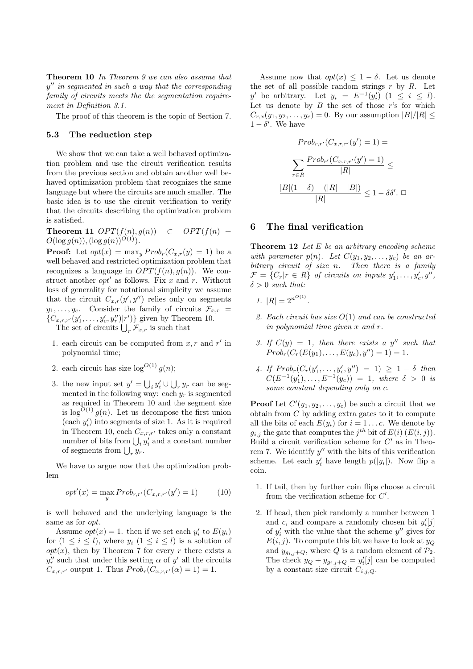Theorem 10 In Theorem 9 we can also assume that  $y''$  in segmented in such a way that the corresponding family of circuits meets the the segmentation requirement in Definition 3.1.

The proof of this theorem is the topic of Section 7.

### 5.3 The reduction step

We show that we can take a well behaved optimization problem and use the circuit verification results from the previous section and obtain another well behaved optimization problem that recognizes the same language but where the circuits are much smaller. The basic idea is to use the circuit verification to verify that the circuits describing the optimization problem is satisfied.

Theorem 11  $OPT(f(n), g(n)) \subset OPT(f(n) +$  $O(\log g(n)),(\log g(n))^{O(1)}$ .

**Proof:** Let  $opt(x) = \max_y Prob_r(C_{x,r}(y) = 1)$  be a well behaved and restricted optimization problem that recognizes a language in  $OPT(f(n), g(n))$ . We construct another  $opt'$  as follows. Fix x and r. Without loss of generality for notational simplicity we assume that the circuit  $C_{x,r}(y', y'')$  relies only on segments  $y_1, \ldots, y_c$ . Consider the family of circuits  $\mathcal{F}_{x,r}$  ${C_{x,r,r'}(y'_1, \ldots, y'_c, y''_r)|r' }$  given by Theorem 10.

The set of circuits  $\bigcup_r \mathcal{F}_{x,r}$  is such that

- 1. each circuit can be computed from  $x, r$  and  $r'$  in polynomial time;
- 2. each circuit has size  $\log^{O(1)} g(n)$ ;
- 3. the new input set  $y' = \bigcup_i y'_i \cup \bigcup_r y_r$  can be segmented in the following way: each  $y_r$  is segmented as required in Theorem 10 and the segment size is  $\log^{O(1)} g(n)$ . Let us decompose the first union (each  $y_i'$ ) into segments of size 1. As it is required in Theorem 10, each  $C_{x,r,r'}$  takes only a constant number of bits from  $\bigcup_i y_i'$  and a constant number of segments from  $\bigcup_r y_r$ .

We have to argue now that the optimization problem

$$
opt'(x) = \max_{y} Prob_{r,r'}(C_{x,r,r'}(y') = 1)
$$
 (10)

is well behaved and the underlying language is the same as for *opt*.

Assume  $opt(x) = 1$ . then if we set each  $y'_i$  to  $E(y_i)$ for  $(1 \leq i \leq l)$ , where  $y_i$   $(1 \leq i \leq l)$  is a solution of  $opt(x)$ , then by Theorem 7 for every r there exists a  $y_r''$  such that under this setting  $\alpha$  of  $y'$  all the circuits  $C_{x,r,r'}$  output 1. Thus  $Prob<sub>r</sub>(C_{x,r,r'}(\alpha) = 1) = 1.$ 

Assume now that  $opt(x) \leq 1 - \delta$ . Let us denote the set of all possible random strings  $r$  by  $R$ . Let y' be arbitrary. Let  $y_i = E^{-1}(y'_i)$   $(1 \le i \le l)$ . Let us denote by  $B$  the set of those  $r$ 's for which  $C_{r,x}(y_1, y_2, \ldots, y_c) = 0$ . By our assumption  $|B|/|R| \leq$  $1 - \delta'$ . We have

$$
Prob_{r,r'}(C_{x,r,r'}(y') = 1) =
$$

$$
\sum_{r \in R} \frac{Prob_{r'}(C_{x,r,r'}(y') = 1)}{|R|} \le
$$

$$
\frac{|B|(1-\delta) + (|R|-|B|)}{|R|} \le 1 - \delta\delta'. \ \Box
$$

#### 6 The final verification

**Theorem 12** Let  $E$  be an arbitrary encoding scheme with parameter  $p(n)$ . Let  $C(y_1, y_2, \ldots, y_c)$  be an arbitrary circuit of size n. Then there is a family  $\mathcal{F} = \{C_r | r \in R\}$  of circuits on inputs  $y'_1, \ldots, y'_c, y''$ ,  $\delta > 0$  such that:

- 1.  $|R| = 2^{n^{O(1)}}$ .
- 2. Each circuit has size  $O(1)$  and can be constructed in polynomial time given x and r.
- 3. If  $C(y) = 1$ , then there exists a y'' such that  $Prob<sub>r</sub>(C<sub>r</sub>(E(y<sub>1</sub>),...,E(y<sub>c</sub>), y'') = 1) = 1.$
- 4. If  $Prob_r(C_r(y'_1, ..., y'_c, y'') = 1) \geq 1 \delta$  then  $C(E^{-1}(y'_1),...,E^{-1}(y_c)) = 1$ , where  $\delta > 0$  is some constant depending only on c.

**Proof** Let  $C'(y_1, y_2, \ldots, y_c)$  be such a circuit that we obtain from  $C$  by adding extra gates to it to compute all the bits of each  $E(y_i)$  for  $i = 1...c$ . We denote by  $g_{i,j}$  the gate that computes the  $j^{th}$  bit of  $E(i)$   $(E(i,j))$ . Build a circuit verification scheme for  $C'$  as in Theorem 7. We identify  $y''$  with the bits of this verification scheme. Let each  $y'_i$  have length  $p(|y_i|)$ . Now flip a coin.

- 1. If tail, then by further coin flips choose a circuit from the verification scheme for  $C'$ .
- 2. If head, then pick randomly a number between 1 and  $c$ , and compare a randomly chosen bit  $y_i'[j]$ of  $y_i'$  with the value that the scheme  $y''$  gives for  $E(i, j)$ . To compute this bit we have to look at  $y_Q$ and  $y_{g_{i,j}+Q}$ , where Q is a random element of  $\mathcal{P}_2$ . The check  $y_Q + y_{g_{i,j}+Q} = y_i'[j]$  can be computed by a constant size circuit  $C_{i,j,Q}$ .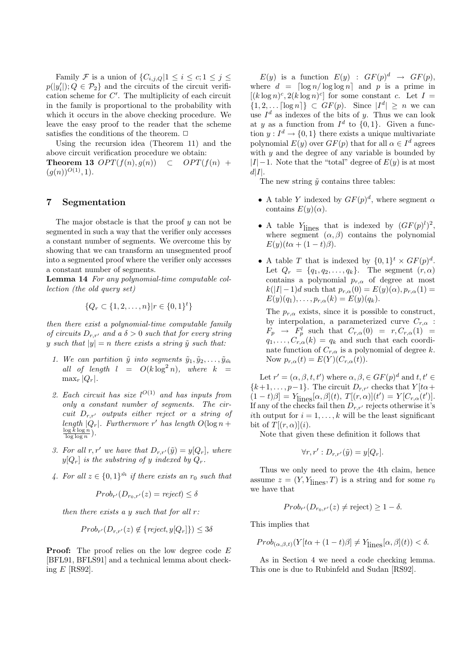Family F is a union of  $\{C_{i,i,O}|1 \leq i \leq c; 1 \leq j \leq \}$  $p(|y'_i|); Q \in \mathcal{P}_2$  and the circuits of the circuit verification scheme for  $C'$ . The multiplicity of each circuit in the family is proportional to the probability with which it occurs in the above checking procedure. We leave the easy proof to the reader that the scheme satisfies the conditions of the theorem.  $\Box$ 

Using the recursion idea (Theorem 11) and the above circuit verification procedure we obtain: **Theorem 13** OPT $(f(n), g(n)) \subset OPT(f(n) +$  $(g(n))^{O(1)}, 1$ .

#### 7 Segmentation

The major obstacle is that the proof  $y$  can not be segmented in such a way that the verifier only accesses a constant number of segments. We overcome this by showing that we can transform an unsegmented proof into a segmented proof where the verifier only accesses a constant number of segments.

Lemma 14 For any polynomial-time computable collection (the old query set)

$$
\{Q_r \subset \{1, 2, \dots, n\} | r \in \{0, 1\}^t\}
$$

then there exist a polynomial-time computable family of circuits  $D_{r,r'}$  and a  $\delta > 0$  such that for every string y such that  $|y| = n$  there exists a string  $\tilde{y}$  such that:

- 1. We can partition  $\tilde{y}$  into segments  $\tilde{y}_1, \tilde{y}_2, \ldots, \tilde{y}_{\tilde{m}}$ all of length  $l = O(k \log^2 n)$ , where  $k =$  $\max_r |Q_r|$ .
- 2. Each circuit has size  $l^{O(1)}$  and has inputs from only a constant number of segments. The circuit  $D_{r,r'}$  outputs either reject or a string of length  $|Q_r|$ . Furthermore r' has length  $O(\log n +$  $\frac{\log k \log n}{\log \log n}$ .
- 3. For all r, r' we have that  $D_{rr'}(\tilde{y}) = y[Q_r]$ , where  $y[Q_r]$  is the substring of y indexed by  $Q_r$ .
- 4. For all  $z \in \{0,1\}^{\tilde{m}}$  if there exists an  $r_0$  such that

$$
Prob_{r'}(D_{r_0,r'}(z) = reject) \le \delta
$$

then there exists a y such that for all  $r$ :

$$
Prob_{r'}(D_{r,r'}(z) \notin \{reject, y[Q_r]\}) \le 3\delta
$$

Proof: The proof relies on the low degree code E [BFL91, BFLS91] and a technical lemma about checking  $E$  [RS92].

 $E(y)$  is a function  $E(y)$ :  $GF(p)^d \rightarrow GF(p)$ , where  $d = \lceil \log n / \log \log n \rceil$  and p is a prime in  $[(k \log n)^c, 2(k \log n)^c]$  for some constant c. Let  $I =$  $\{1, 2, \ldots \lceil \log n \rceil\} \subset GF(p).$  Since  $|I^d| \geq n$  we can use  $I^d$  as indexes of the bits of y. Thus we can look at y as a function from  $I^d$  to  $\{0,1\}$ . Given a function  $y: I^d \to \{0,1\}$  there exists a unique multivariate polynomial  $E(y)$  over  $GF(p)$  that for all  $\alpha \in I^d$  agrees with  $y$  and the degree of any variable is bounded by  $|I|-1$ . Note that the "total" degree of  $E(y)$  is at most  $d|I|$ .

The new string  $\tilde{y}$  contains three tables:

- A table Y indexed by  $GF(p)^d$ , where segment  $\alpha$ contains  $E(y)(\alpha)$ .
- A table  $Y_{\text{lines}}$  that is indexed by  $(GF(p)^l)^2$ , where segment  $(\alpha, \beta)$  contains the polynomial  $E(y)(t\alpha + (1-t)\beta).$
- A table T that is indexed by  $\{0,1\}^t \times GF(p)^d$ . Let  $Q_r = \{q_1, q_2, \ldots, q_k\}$ . The segment  $(r, \alpha)$ contains a polynomial  $p_{r,\alpha}$  of degree at most  $k(|I| - 1)d$  such that  $p_{r,\alpha}(0) = E(y)(\alpha), p_{r,\alpha}(1) =$  $E(y)(q_1), \ldots, p_{r,\alpha}(k) = E(y)(q_k).$

The  $p_{r,\alpha}$  exists, since it is possible to construct, by interpolation, a parameterized curve  $C_{r,\alpha}$  :  $F_p \rightarrow F_p^l$  such that  $C_{r,\alpha}(0) = r, C_{r,\alpha}(1) =$  $q_1, \ldots, C_{r,\alpha}(k) = q_k$  and such that each coordinate function of  $C_{r,\alpha}$  is a polynomial of degree k. Now  $p_{r,\alpha}(t) = E(Y)(C_{r,\alpha}(t)).$ 

Let  $r' = (\alpha, \beta, t, t')$  where  $\alpha, \beta \in GF(p)^d$  and  $t, t' \in$  ${k+1, \ldots, p-1}$ . The circuit  $D_{r,r'}$  checks that  $Y[t\alpha +$  $[1-t)\beta] = Y_{\text{lines}}[\alpha, \beta](t), T[(r, \alpha)](t') = Y[C_{r,\alpha}(t')].$ If any of the checks fail then  $D_{r,r'}$  rejects otherwise it's ith output for  $i = 1, \ldots, k$  will be the least significant bit of  $T[(r, \alpha)](i)$ .

Note that given these definition it follows that

$$
\forall r, r' : D_{r,r'}(\tilde{y}) = y[Q_r].
$$

Thus we only need to prove the 4th claim, hence assume  $z = (Y, Y_{\text{lines}}, T)$  is a string and for some  $r_0$ we have that

$$
Prob_{r'}(D_{r_0,r'}(z) \neq \text{reject}) \geq 1 - \delta.
$$

This implies that

 $Prob_{(\alpha,\beta,t)}(Y[t\alpha+(1-t)\beta] \neq Y_{\text{lines}}[\alpha,\beta](t)) < \delta.$ 

As in Section 4 we need a code checking lemma. This one is due to Rubinfeld and Sudan [RS92].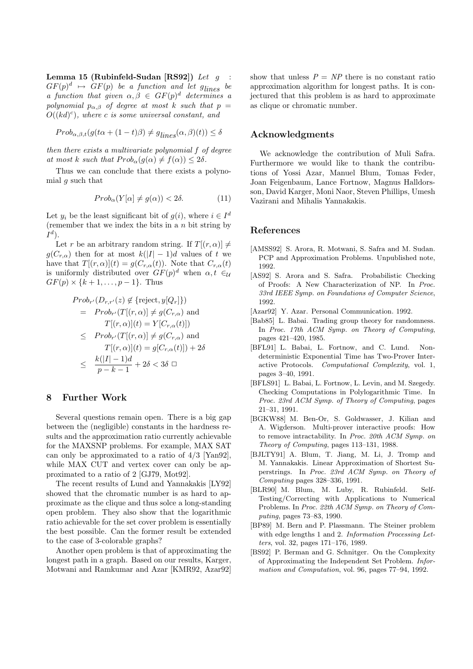Lemma 15 (Rubinfeld-Sudan [RS92]) Let  $q$  $GF(p)^d \mapsto GF(p)$  be a function and let  $g_{lines}$  be a function that given  $\alpha, \beta \in GF(p)^d$  determines a polynomial  $p_{\alpha,\beta}$  of degree at most k such that  $p =$  $O((kd)^c)$ , where c is some universal constant, and

$$
Prob_{\alpha,\beta,t}(g(t\alpha + (1-t)\beta) \neq g_{lines}(\alpha,\beta)(t)) \leq \delta
$$

then there exists a multivariate polynomial f of degree at most k such that  $Prob_{\alpha}(g(\alpha) \neq f(\alpha)) \leq 2\delta$ .

Thus we can conclude that there exists a polynomial  $q$  such that

$$
Prob_{\alpha}(Y[\alpha] \neq g(\alpha)) < 2\delta. \tag{11}
$$

Let  $y_i$  be the least significant bit of  $g(i)$ , where  $i \in I^d$ (remember that we index the bits in a  $n$  bit string by  $I^d$ ).

Let r be an arbitrary random string. If  $T[(r,\alpha)] \neq$  $g(C_{r,\alpha})$  then for at most  $k(|I|-1)d$  values of t we have that  $T[(r,\alpha)](t) = g(C_{r,\alpha}(t))$ . Note that  $C_{r,\alpha}(t)$ is uniformly distributed over  $GF(p)^d$  when  $\alpha, t \in \mathcal{U}$  $GF(p) \times \{k+1, \ldots, p-1\}$ . Thus

$$
Prob_{r'}(D_{r,r'}(z) \notin \{\text{reject}, y[Q_r]\})
$$
  
=  $Prob_{r'}(T[(r, \alpha)] \neq g(C_{r,\alpha})$  and  

$$
T[(r, \alpha)](t) = Y[C_{r,\alpha}(t)])
$$
  

$$
\leq Prob_{r'}(T[(r, \alpha)] \neq g(C_{r,\alpha})
$$
 and  

$$
T[(r, \alpha)](t) = g[C_{r,\alpha}(t)]) + 2\delta
$$
  

$$
\leq \frac{k(|I| - 1)d}{p - k - 1} + 2\delta < 3\delta \square
$$

# 8 Further Work

Several questions remain open. There is a big gap between the (negligible) constants in the hardness results and the approximation ratio currently achievable for the MAXSNP problems. For example, MAX SAT can only be approximated to a ratio of 4/3 [Yan92], while MAX CUT and vertex cover can only be approximated to a ratio of 2 [GJ79, Mot92].

The recent results of Lund and Yannakakis [LY92] showed that the chromatic number is as hard to approximate as the clique and thus solce a long-standing open problem. They also show that the logarithmic ratio achievable for the set cover problem is essentially the best possible. Can the former result be extended to the case of 3-colorable graphs?

Another open problem is that of approximating the longest path in a graph. Based on our results, Karger, Motwani and Ramkumar and Azar [KMR92, Azar92] show that unless  $P = NP$  there is no constant ratio approximation algorithm for longest paths. It is conjectured that this problem is as hard to approximate as clique or chromatic number.

# Acknowledgments

We acknowledge the contribution of Muli Safra. Furthermore we would like to thank the contributions of Yossi Azar, Manuel Blum, Tomas Feder, Joan Feigenbaum, Lance Fortnow, Magnus Halldorsson, David Karger, Moni Naor, Steven Phillips, Umesh Vazirani and Mihalis Yannakakis.

#### References

- [AMSS92] S. Arora, R. Motwani, S. Safra and M. Sudan. PCP and Approximation Problems. Unpublished note, 1992.
- [AS92] S. Arora and S. Safra. Probabilistic Checking of Proofs: A New Characterization of NP. In Proc. 33rd IEEE Symp. on Foundations of Computer Science, 1992.
- [Azar92] Y. Azar. Personal Communication. 1992.
- [Bab85] L. Babai. Trading group theory for randomness. In Proc. 17th ACM Symp. on Theory of Computing, pages 421–420, 1985.
- [BFL91] L. Babai, L. Fortnow, and C. Lund. Nondeterministic Exponential Time has Two-Prover Interactive Protocols. Computational Complexity, vol. 1, pages 3–40, 1991.
- [BFLS91] L. Babai, L. Fortnow, L. Levin, and M. Szegedy. Checking Computations in Polylogarithmic Time. In Proc. 23rd ACM Symp. of Theory of Computing, pages 21–31, 1991.
- [BGKW88] M. Ben-Or, S. Goldwasser, J. Kilian and A. Wigderson. Multi-prover interactive proofs: How to remove intractability. In Proc. 20th ACM Symp. on Theory of Computing, pages 113–131, 1988.
- [BJLTY91] A. Blum, T. Jiang, M. Li, J. Tromp and M. Yannakakis. Linear Approximation of Shortest Superstrings. In Proc. 23rd ACM Symp. on Theory of Computing pages 328–336, 1991.
- [BLR90] M. Blum, M. Luby, R. Rubinfeld. Self-Testing/Correcting with Applications to Numerical Problems. In Proc. 22th ACM Symp. on Theory of Computing, pages 73–83, 1990.
- [BP89] M. Bern and P. Plassmann. The Steiner problem with edge lengths 1 and 2. Information Processing Letters, vol. 32, pages 171–176, 1989.
- [BS92] P. Berman and G. Schnitger. On the Complexity of Approximating the Independent Set Problem. Information and Computation, vol. 96, pages 77–94, 1992.